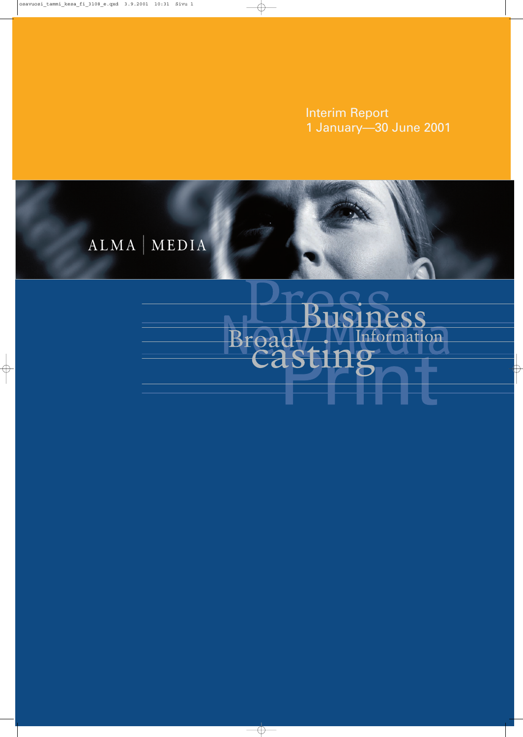Interim Report 1 January—30 June 2001



# 1ness<br>Information 91 Broad-Ling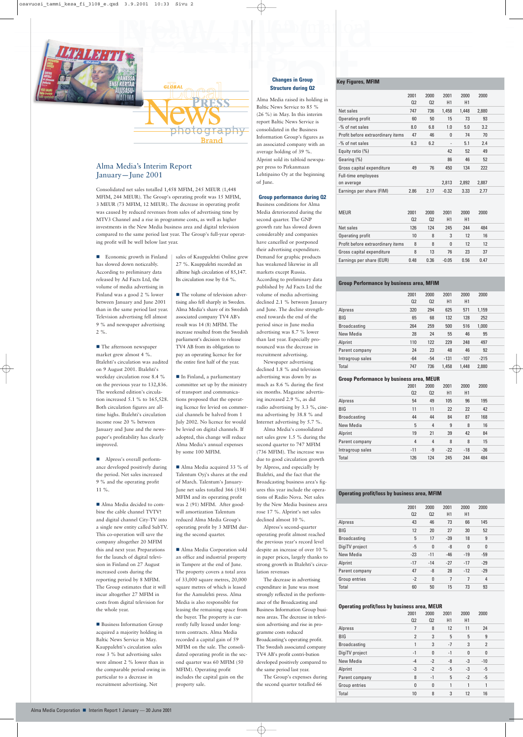

# Alma Media's Interim Report January—June 2001

Consolidated net sales totalled 1,458 MFIM, 245 MEUR (1,448 MFIM, 244 MEUR). The Group's operating profit was 15 MFIM, 3 MEUR (73 MFIM, 12 MEUR). The decrease in operating profit was caused by reduced revenues from sales of advertising time by MTV3 Channel and a rise in programme costs, as well as higher investments in the New Media business area and digital television compared to the same period last year. The Group's full-year operating profit will be well below last year.

**Exercise** Economic growth in Finland has slowed down noticeably. According to preliminary data released by Ad Facts Ltd, the volume of media advertising in Finland was a good 2 % lower between January and June 2001 than in the same period last year. Television advertising fell almost 9 % and newspaper advertising 2 %.

■ The afternoon newspaper market grew almost 4 %. Iltalehti's circulation was audited on 9 August 2001. Iltalehti's weekday circulation rose 8.4 % on the previous year to 132,836. The weekend edition's circulation increased 5.1 % to 165,528. Both circulation figures are alltime highs. Iltalehti's circulation income rose 20 % between January and June and the newspaper's profitability has clearly improved.

**Alpress's overall perform**ance developed positively during the period. Net sales increased 9 % and the operating profit 11 %.

 Alma Media decided to combine the cable channel TVTV! and digital channel City-TV into a single new entity called SubTV. This co-operation will save the company altogether 20 MFIM this and next year. Preparations for the launch of digital television in Finland on 27 August increased costs during the reporting period by 8 MFIM. The Group estimates that it will incur altogether 27 MFIM in costs from digital television for the whole year.

**Business Information Group** acquired a majority holding in Baltic News Service in May. Kauppalehti's circulation sales rose 3 % but advertising sales were almost 2 % lower than in the comparable period owing in particular to a decrease in recruitment advertising. Net

sales of Kauppalehti Online grew 27 %. Kauppalehti recorded an alltime high circulation of 85,147. Its circulation rose by 0.6 %.

■ The volume of television advertising also fell sharply in Sweden. Alma Media's share of its Swedish associated company TV4 AB's result was 14 (8) MFIM. The increase resulted from the Swedish parliament's decision to release TV4 AB from its obligation to pay an operating licence fee for the entire first half of the year.

 In Finland, a parliamentary committee set up by the ministry of transport and communications proposed that the operating licence fee levied on commercial channels be halved from 1 July 2002. No licence fee would be levied on digital channels. If adopted, this change will reduce Alma Media's annual expenses by some 100 MFIM.

 Alma Media acquired 33 % of Talentum Oyj's shares at the end of March. Talentum's January-June net sales totalled 366 (354) MFIM and its operating profit was 2 (91) MFIM. After goodwill amortization Talentum reduced Alma Media Group's operating profit by 3 MFIM during the second quarter.

 Alma Media Corporation sold an office and industrial property in Tampere at the end of June. The property covers a total area of 33,000 square metres, 20,000 square metres of which is leased for the Aamulehti press. Alma Media is also responsible for leasing the remaining space from the buyer. The property is currently fully leased under longterm contracts. Alma Media recorded a capital gain of 59 MFIM on the sale. The consolidated operating profit in the second quarter was 60 MFIM (50 MFIM). Operating profit includes the capital gain on the property sale.

# **Changes in Group Structure during Q2**

Alma Media raised its holding in Baltic News Service to 85 % (26 %) in May. In this interim report Baltic News Service is consolidated in the Business Information Group's figures as an associated company with an average holding of 39 %. Alprint sold its tabloid newspaper press to Pirkanmaan Lehtipaino Oy at the beginning of June.

# **Group performance during Q2**

Business conditions for Alma Media deteriorated during the second quarter. The GNP growth rate has slowed down considerably and companies have cancelled or postponed their advertising expenditure. Demand for graphic products has weakened likewise in all markets except Russia. According to preliminary data published by Ad Facts Ltd the volume of media advertising declined 2.1 % between January and June. The decline strengthened towards the end of the period since in June media advertising was 8.7 % lower than last year. Especially pronounced was the decrease in recruitment advertising.

Newspaper advertising declined 1.8 % and television advertising was down by as much as 8.6 % during the first six months. Magazine advertising increased 2.9 %, as did radio advertising by 3.3 %, cinema advertising by 38.8 % and Internet advertising by 5.7 %. Alma Media's consolidated net sales grew 1.5 % during the second quarter to 747 MFIM (736 MFIM). The increase was due to good circulation growth by Alpress, and especially by Iltalehti, and the fact that the Broadcasting business area's figures this year include the operations of Radio Nova. Net sales by the New Media business area

rose 17 %. Alprint's net sales declined almost 10 %. Alpress's second-quarter operating profit almost reached the previous year's record level despite an increase of over 10 % in paper prices, largely thanks to strong growth in Iltalehti's circulation revenues

The decrease in advertising expenditure in June was most strongly reflected in the performance of the Broadcasting and Business Information Group business areas. The decrease in television advertising and rise in programme costs reduced Broadcasting's operating profit. The Swedish associated company TV4 AB's profit contri-bution developed positively compared to the same period last year. The Group's expenses during

the second quarter totalled 66

# **Key Figures, MFIM**

|                                   | 2001<br>Q <sub>2</sub> | 2000<br>02             | 2001<br>H1 | 2000<br>H1 | 2000  |  |
|-----------------------------------|------------------------|------------------------|------------|------------|-------|--|
| Net sales                         | 747                    | 736                    | 1,458      | 1,448      | 2,880 |  |
| Operating profit                  | 60                     | 50                     | 15         | 73         | 93    |  |
| -% of net sales                   | 8.0                    | 6.8                    | 1.0        | 5.0        | 3.2   |  |
| Profit before extraordinary items | 47                     | 46                     | 0          | 74         | 70    |  |
| -% of net sales                   | 6.3                    | 6.2                    |            | 5.1        | 2.4   |  |
| Equity ratio (%)                  |                        |                        | 42         | 52         | 49    |  |
| Gearing (%)                       |                        |                        | 86         | 46         | 52    |  |
| Gross capital expenditure         | 49                     | 76                     | 450        | 134        | 222   |  |
| Full-time employees<br>on average |                        |                        | 2,813      | 2,892      | 2,887 |  |
| Earnings per share (FIM)          | 2.86                   | 2.17                   | $-0.32$    | 3.33       | 2.77  |  |
| MEUR                              | 2001<br>02             | 2000<br>Q <sub>2</sub> | 2001<br>H1 | 2000<br>H1 | 2000  |  |
| Net sales                         | 126                    | 124                    | 245        | 244        | 484   |  |
| Operating profit                  | 10                     | 8                      | 3          | 12         | 16    |  |
| Profit before extraordinary items | 8                      | 8                      | 0          | 12         | 12    |  |
| Gross capital expenditure         | 8                      | 13                     | 76         | 23         | 37    |  |
| Earnings per share (EUR)          | 0.48                   | 0.36                   | $-0.05$    | 0.56       | 0.47  |  |
|                                   |                        |                        |            |            |       |  |

## **Group Performance by business area, MFIM**

|                     | 2001           | 2000           | 2001   | 2000   | 2000   |  |
|---------------------|----------------|----------------|--------|--------|--------|--|
|                     | Q <sub>2</sub> | Q <sub>2</sub> | H1     | H1     |        |  |
| Alpress             | 320            | 294            | 625    | 571    | 1,159  |  |
| BIG                 | 65             | 68             | 132    | 128    | 252    |  |
| <b>Broadcasting</b> | 264            | 259            | 500    | 516    | 1,000  |  |
| New Media           | 28             | 24             | 55     | 46     | 95     |  |
| Alprint             | 110            | 122            | 229    | 248    | 497    |  |
| Parent company      | 24             | 23             | 48     | 46     | 92     |  |
| Intragroup sales    | $-64$          | $-54$          | $-131$ | $-107$ | $-215$ |  |
| Total               | 747            | 736            | 1,458  | 1,448  | 2,880  |  |
|                     |                |                |        |        |        |  |

## **Group Performance by business area, MEUR**

|                  | 2001<br>Q <sub>2</sub> | 2000<br>Q <sub>2</sub> | 2001<br>H1 | 2000<br>H1 | 2000  |  |
|------------------|------------------------|------------------------|------------|------------|-------|--|
| Alpress          | 54                     | 49                     | 105        | 96         | 195   |  |
| BIG              | 11                     | 11                     | 22         | 22         | 42    |  |
| Broadcasting     | 44                     | 44                     | 84         | 87         | 168   |  |
| New Media        | 5                      | 4                      | 9          | 8          | 16    |  |
| Alprint          | 19                     | 21                     | 39         | 42         | 84    |  |
| Parent company   | 4                      | 4                      | 8          | 8          | 15    |  |
| Intragroup sales | $-11$                  | -9                     | $-22$      | $-18$      | $-36$ |  |
| Total            | 126                    | 124                    | 245        | 244        | 484   |  |
|                  |                        |                        |            |            |       |  |

## **Operating profit/loss by business area, MFIM**

|                | 2001           | 2000           | 2001           | 2000     | 2000  |  |
|----------------|----------------|----------------|----------------|----------|-------|--|
|                | Q <sub>2</sub> | Q <sub>2</sub> | H1             | H1       |       |  |
| Alpress        | 43             | 46             | 73             | 66       | 145   |  |
| BIG            | 12             | 20             | 27             | 30       | 52    |  |
| Broadcasting   | 5              | 17             | $-39$          | 18       | 9     |  |
| DigiTV project | $-5$           | 0              | -8             | $\bf{0}$ | 0     |  |
| New Media      | $-23$          | $-11$          | $-46$          | $-19$    | $-59$ |  |
| Alprint        | $-17$          | $-14$          | $-27$          | $-17$    | $-29$ |  |
| Parent company | 47             | -8             | 28             | $-12$    | $-29$ |  |
| Group entries  | $-2$           | 0              | $\overline{7}$ | 7        | 4     |  |
| Total          | 60             | 50             | 15             | 73       | 93    |  |

## **Operating profit/loss by business area, MEUR**

|                     | 2001           | 2000           | 2001 | 2000 | 2000           |  |
|---------------------|----------------|----------------|------|------|----------------|--|
|                     | Q <sub>2</sub> | Q <sub>2</sub> | H1   | H1   |                |  |
| Alpress             | 7              | 8              | 12   | 11   | 24             |  |
| BIG                 | $\overline{2}$ | 3              | 5    | 5    | 9              |  |
| <b>Broadcasting</b> | 1              | 3              | $-7$ | 3    | $\overline{2}$ |  |
| DigiTV project      | $-1$           | 0              | $-1$ | 0    | 0              |  |
| New Media           | $-4$           | $-2$           | -8   | -3   | $-10$          |  |
| <b>Alprint</b>      | -3             | $-2$           | -5   | -3   | -5             |  |
| Parent company      | 8              | $-1$           | 5    | $-2$ | -5             |  |
| Group entries       | 0              | 0              | 1    | 1    | 1              |  |
| Total               | 10             | 8              | 3    | 12   | 16             |  |
|                     |                |                |      |      |                |  |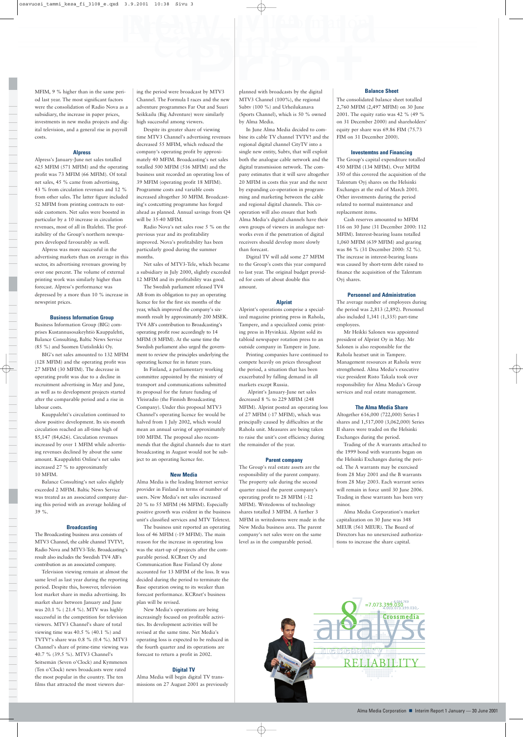MFIM, 9 % higher than in the same period last year. The most significant factors were the consolidation of Radio Nova as a subsidiary, the increase in paper prices, investments in new media projects and digital television, and a general rise in payroll costs.

#### **Alpress**

Alpress's January-June net sales totalled 625 MFIM (571 MFIM) and the operating profit was 73 MFIM (66 MFIM). Of total net sales, 45 % came from advertising, 43 % from circulation revenues and 12 % from other sales. The latter figure included 52 MFIM from printing contracts to outside customers. Net sales were boosted in particular by a 10 increase in circulation revenues, most of all in Iltalehti. The profitability of the Group's northern newspapers developed favourably as well.

Alpress was more successful in the advertising markets than on average in this sector, its advertising revenues growing by over one percent. The volume of external printing work was similarly higher than forecast. Alpress's performance was depressed by a more than 10 % increase in newsprint prices.

## **Business Information Group**

Business Information Group (BIG) comprises Kustannusosakeyhtiö Kauppalehti, Balance Consulting, Baltic News Service (85 %) and Suomen Uutislinkki Oy.

BIG's net sales amounted to 132 MFIM (128 MFIM) and the operating profit was 27 MFIM (30 MFIM). The decrease in operating profit was due to a decline in recruitment advertising in May and June, as well as to development projects started after the comparable period and a rise in labour costs.

Kauppalehti's circulation continued to show positive development. Its six-month circulation reached an all-time high of 85,147 (84,626). Circulation revenues increased by over 1 MFIM while advertising revenues declined by about the same amount. Kauppalehti Online's net sales increased 27 % to approximately 10 MFIM.

Balance Consulting's net sales slightly exceeded 2 MFIM. Baltic News Service was treated as an associated company during this period with an average holding of 39 %.

#### **Broadcasting**

The Broadcasting business area consists of MTV3 Channel, the cable channel TVTV!, Radio Nova and MTV3-Tele. Broadcasting's result also includes the Swedish TV4 AB's contribution as an associated company.

Television viewing remain at almost the same level as last year during the reporting period. Despite this, however, television lost market share in media advertising. Its market share between January and June was 20.1 % ( 21.4 %). MTV was highly successful in the competition for television viewers. MTV3 Channel's share of total viewing time was 40.5 % (40.1 %) and TVTV!'s share was 0.8 % (0.4 %). MTV3 Channel's share of prime-time viewing was 40.7 % (39.5 %). MTV3 Channel's Seitsemän (Seven o'Clock) and Kymmenen (Ten o'Clock) news broadcasts were rated the most popular in the country. The ten films that attracted the most viewers during the period were broadcast by MTV3 Channel. The Formula I races and the new adventure programmes Far Out and Suuri Seikkailu (Big Adventure) were similarly high successful among viewers.

Despite its greater share of viewing time MTV3 Channel's advertising revenues decreased 55 MFIM, which reduced the company's operating profit by approximately 40 MFIM. Broadcasting's net sales totalled 500 MFIM (516 MFIM) and the business unit recorded an operating loss of 39 MFIM (operating profit 18 MFIM). Programme costs and variable costs increased altogether 30 MFIM. Broadcasting's costcutting programme has forged ahead as planned. Annual savings from Q4 will be 35-40 MFIM.

Radio Nova's net sales rose 5 % on the previous year and its profitability improved. Nova's profitability has been particularly good during the summer months.

Net sales of MTV3-Tele, which became a subsidiary in July 2000, slightly exceeded 12 MFIM and its profitability was good.

The Swedish parliament released TV4 AB from its obligation to pay an operating licence fee for the first six months of the year, which improved the company's sixmonth result by approximately 200 MSEK. TV4 AB's contribution to Broadcasting's operating profit rose accordingly to 14 MFIM (8 MFIM). At the same time the Swedish parliament also urged the government to review the principles underlying the operating licence fee in future years.

In Finland, a parliamentary working committee appointed by the ministry of transport and communications submitted its proposal for the future funding of Yleisradio (the Finnish Broadcasting Company). Under this proposal MTV3 Channel's operating licence fee would be halved from 1 July 2002, which would mean an annual saving of approximately 100 MFIM. The proposal also recommends that the digital channels due to start broadcasting in August would not be subject to an operating licence fee.

#### **New Media**

Alma Media is the leading Internet service provider in Finland in terms of number of users. New Media's net sales increased 20 % to 55 MFIM (46 MFIM). Especially positive growth was evident in the business unit's classified services and MTV Teletext.

The business unit reported an operating loss of 46 MFIM (-19 MFIM). The main reason for the increase in operating loss was the start-up of projects after the comparable period. KCRnet Oy and Communication Base Finland Oy alone accounted for 13 MFIM of the loss. It was decided during the period to terminate the Base operation owing to its weaker than forecast performance. KCRnet's business plan will be revised.

New Media's operations are being increasingly focused on profitable activities. Its development activities will be revised at the same time. Net Media's operating loss is expected to be reduced in the fourth quarter and its operations are forecast to return a profit in 2002.

#### **Digital TV**

Alma Media will begin digital TV transmissions on 27 August 2001 as previously planned with broadcasts by the digital MTV3 Channel (100%), the regional Subtv (100 %) and Urheilukanava (Sports Channel), which is 50 % owned by Alma Media.

In June Alma Media decided to combine its cable TV channel TVTV! and the regional digital channel CityTV into a single new entity, Subtv, that will exploit both the analogue cable network and the digital transmission network. The company estimates that it will save altogether 20 MFIM in costs this year and the next by expanding co-operation in programming and marketing between the cable and regional digital channels. This cooperation will also ensure that both Alma Media's digital channels have their own groups of viewers in analogue networks even if the penetration of digital receivers should develop more slowly than forecast.

Digital TV will add some 27 MFIM to the Group's costs this year compared to last year. The original budget provided for costs of about double this amount.

#### **Alprint**

Alprint's operations comprise a specialized magazine printing press in Rahola, Tampere, and a specialized comic printing press in Hyvinkää. Alprint sold its tabloid newspaper rotation press to an outside company in Tampere in June.

Printing companies have continued to compete heavily on prices throughout the period, a situation that has been exacerbated by falling demand in all markets except Russia.

Alprint's January-June net sales decreased 8 % to 229 MFIM (248 MFIM). Alprint posted an operating loss of 27 MFIM (-17 MFIM), which was principally caused by difficulties at the Rahola unit. Measures are being taken to raise the unit's cost efficiency during the remainder of the year.

#### **Parent company**

The Group's real estate assets are the responsibility of the parent company. The property sale during the second quarter raised the parent company's operating profit to 28 MFIM (-12 MFIM). Writedowns of technology shares totalled 3 MFIM. A further 3 MFIM in writedowns were made in the New Media business area. The parent company's net sales were on the same level as in the comparable period.

#### **Balance Sheet**

The consolidated balance sheet totalled 2,760 MFIM (2,497 MFIM) on 30 June 2001. The equity ratio was 42 % (49 % on 31 December 2000) and shareholders' equity per share was 69.86 FIM (75.73 FIM on 31 December 2000).

#### **Investemtns and Financing**

The Group's capital expenditure totalled 450 MFIM (134 MFIM). Over MFIM 350 of this covered the acquisition of the Talentum Oyj shares on the Helsinki Exchanges at the end of March 2001. Other investments during the period related to normal maintenance and replacement items.

Cash reserves amounted to MFIM 116 on 30 June (31 December 2000: 112 MFIM). Interest-bearing loans totalled 1,060 MFIM (639 MFIM) and gearing was 86 % (31 December 2000: 52 %). The increase in interest-bearing loans was caused by short-term debt raised to finance the acquisition of the Talentum Oyj shares.

## **Personnel and Administration**

The average number of employees during the period was 2,813 (2,892). Personnel also included 1,341 (1,335) part-time employees.

Mr Heikki Salonen was appointed president of Alprint Oy in May. Mr Salonen is also responsible for the Rahola heatset unit in Tampere. Management resources at Rahola were strengthened. Alma Media's executive vice president Risto Takala took over responsibility for Alma Media's Group services and real estate management.

#### **The Alma Media Share**

Altogether 616,000 (722,000) Series I shares and 1,517,000 (3,062,000) Series II shares were traded on the Helsinki Exchanges during the period.

Trading of the A warrants attached to the 1999 bond with warrants began on the Helsinki Exchanges during the period. The A warrants may be exercised from 28 May 2001 and the B warrants from 28 May 2003. Each warrant series will remain in force until 30 June 2006. Trading in these warrants has been very minor.

Alma Media Corporation's market capitalization on 30 June was 348 MEUR (561 MEUR). The Board of Directors has no unexercised authorizations to increase the share capital.